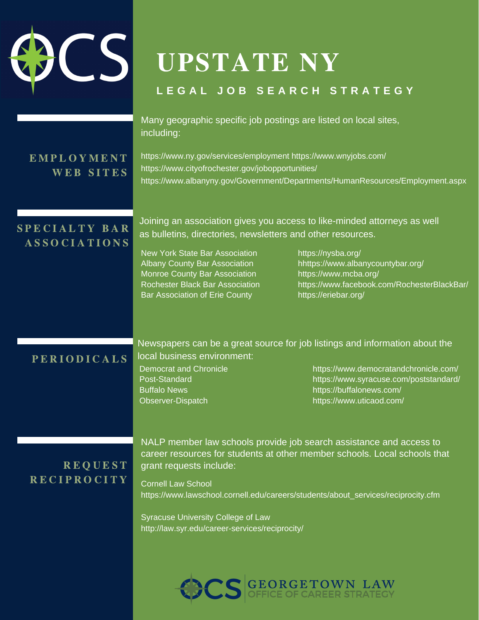

# UPSTATE NY

#### **L E G A L J O B S E A R C H S T R A T E G Y**

 Many geographic specific job postings are listed on local sites, including:

#### E M P L O Y M E N T WEB SITES

[https://www.ny.gov/services/employment https://www.wnyjobs.com/](https://www.ny.gov/services/employment%C2%A0https:/www.wnyjobs.com/) <https://www.cityofrochester.gov/jobopportunities/> <https://www.albanyny.gov/Government/Departments/HumanResources/Employment.aspx>

### SPECIALTY BAR **ASSOCIATIONS**

 Joining an association gives you access to like-minded attorneys as well as bulletins, directories, newsletters and other resources.

New York State Bar Association <https://nysba.org/> **Albany County Bar Association** Monroe County Bar Association <https://www.mcba.org/> Rochester Black Bar Association Bar Association of Erie County <https://eriebar.org/>

[hhttps://www.albanycountybar.org/](https://www.albanycountybar.org/) <https://www.facebook.com/RochesterBlackBar/>

#### PERIODICALS

Newspapers can be a great source for job listings and information about the local business environment:

Democrat and Chronicle <https://www.democratandchronicle.com/> Post-Standard <https://www.syracuse.com/poststandard/> Buffalo News <https://buffalonews.com/> Observer-Dispatch <https://www.uticaod.com/>

## **REQUEST** R E C I P R O C I T Y

NALP member law schools provide job search assistance and access to career resources for students at other member schools. Local schools that grant requests include:

Cornell Law School [https://www.lawschool.cornell.edu/careers/students/about\\_services/reciprocity.cfm](https://www.lawschool.cornell.edu/careers/students/about_services/reciprocity.cfm)

Syracuse University College of Law <http://law.syr.edu/career-services/reciprocity/>